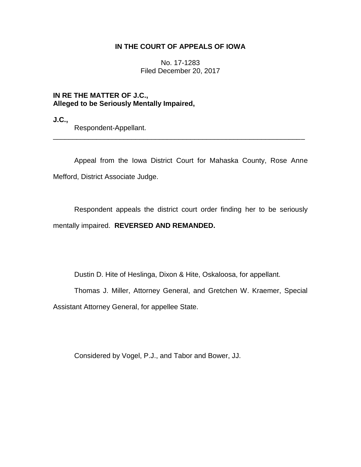## **IN THE COURT OF APPEALS OF IOWA**

No. 17-1283 Filed December 20, 2017

# **IN RE THE MATTER OF J.C., Alleged to be Seriously Mentally Impaired,**

**J.C.,**

Respondent-Appellant.

Appeal from the Iowa District Court for Mahaska County, Rose Anne Mefford, District Associate Judge.

\_\_\_\_\_\_\_\_\_\_\_\_\_\_\_\_\_\_\_\_\_\_\_\_\_\_\_\_\_\_\_\_\_\_\_\_\_\_\_\_\_\_\_\_\_\_\_\_\_\_\_\_\_\_\_\_\_\_\_\_\_\_\_\_

Respondent appeals the district court order finding her to be seriously mentally impaired. **REVERSED AND REMANDED.**

Dustin D. Hite of Heslinga, Dixon & Hite, Oskaloosa, for appellant.

Thomas J. Miller, Attorney General, and Gretchen W. Kraemer, Special

Assistant Attorney General, for appellee State.

Considered by Vogel, P.J., and Tabor and Bower, JJ.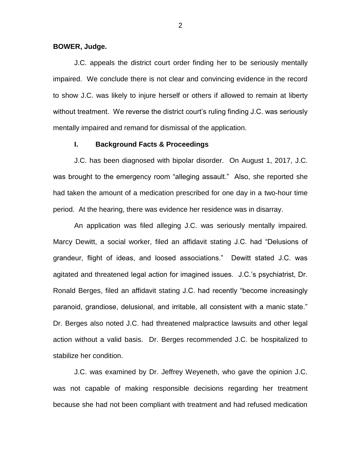#### **BOWER, Judge.**

J.C. appeals the district court order finding her to be seriously mentally impaired. We conclude there is not clear and convincing evidence in the record to show J.C. was likely to injure herself or others if allowed to remain at liberty without treatment. We reverse the district court's ruling finding J.C. was seriously mentally impaired and remand for dismissal of the application.

#### **I. Background Facts & Proceedings**

J.C. has been diagnosed with bipolar disorder. On August 1, 2017, J.C. was brought to the emergency room "alleging assault." Also, she reported she had taken the amount of a medication prescribed for one day in a two-hour time period. At the hearing, there was evidence her residence was in disarray.

An application was filed alleging J.C. was seriously mentally impaired. Marcy Dewitt, a social worker, filed an affidavit stating J.C. had "Delusions of grandeur, flight of ideas, and loosed associations." Dewitt stated J.C. was agitated and threatened legal action for imagined issues. J.C.'s psychiatrist, Dr. Ronald Berges, filed an affidavit stating J.C. had recently "become increasingly paranoid, grandiose, delusional, and irritable, all consistent with a manic state." Dr. Berges also noted J.C. had threatened malpractice lawsuits and other legal action without a valid basis. Dr. Berges recommended J.C. be hospitalized to stabilize her condition.

J.C. was examined by Dr. Jeffrey Weyeneth, who gave the opinion J.C. was not capable of making responsible decisions regarding her treatment because she had not been compliant with treatment and had refused medication

2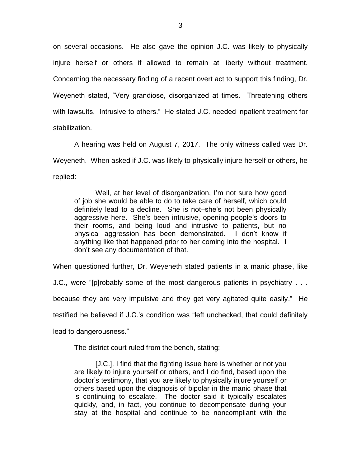on several occasions. He also gave the opinion J.C. was likely to physically injure herself or others if allowed to remain at liberty without treatment. Concerning the necessary finding of a recent overt act to support this finding, Dr. Weyeneth stated, "Very grandiose, disorganized at times. Threatening others with lawsuits. Intrusive to others." He stated J.C. needed inpatient treatment for stabilization.

A hearing was held on August 7, 2017. The only witness called was Dr. Weyeneth. When asked if J.C. was likely to physically injure herself or others, he replied:

Well, at her level of disorganization, I'm not sure how good of job she would be able to do to take care of herself, which could definitely lead to a decline. She is not–she's not been physically aggressive here. She's been intrusive, opening people's doors to their rooms, and being loud and intrusive to patients, but no physical aggression has been demonstrated. I don't know if anything like that happened prior to her coming into the hospital. I don't see any documentation of that.

When questioned further, Dr. Weyeneth stated patients in a manic phase, like

J.C., were "[p]robably some of the most dangerous patients in psychiatry . . .

because they are very impulsive and they get very agitated quite easily." He

testified he believed if J.C.'s condition was "left unchecked, that could definitely

lead to dangerousness."

The district court ruled from the bench, stating:

[J.C.], I find that the fighting issue here is whether or not you are likely to injure yourself or others, and I do find, based upon the doctor's testimony, that you are likely to physically injure yourself or others based upon the diagnosis of bipolar in the manic phase that is continuing to escalate. The doctor said it typically escalates quickly, and, in fact, you continue to decompensate during your stay at the hospital and continue to be noncompliant with the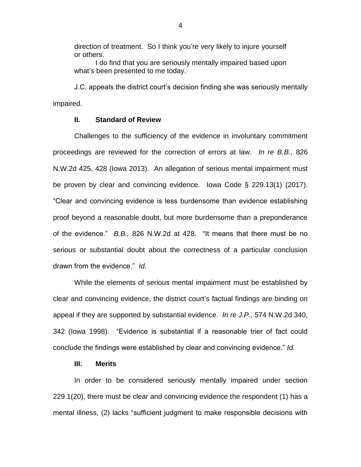direction of treatment. So I think you're very likely to injure yourself or others.

I do find that you are seriously mentally impaired based upon what's been presented to me today.

J.C. appeals the district court's decision finding she was seriously mentally impaired.

### **II. Standard of Review**

Challenges to the sufficiency of the evidence in involuntary commitment proceedings are reviewed for the correction of errors at law. *In re B.B.,* 826 N.W.2d 425, 428 (Iowa 2013). An allegation of serious mental impairment must be proven by clear and convincing evidence. Iowa Code § 229.13(1) (2017). "Clear and convincing evidence is less burdensome than evidence establishing proof beyond a reasonable doubt, but more burdensome than a preponderance of the evidence." *B.B.,* 826 N.W.2d at 428. "It means that there must be no serious or substantial doubt about the correctness of a particular conclusion drawn from the evidence." *Id.*

While the elements of serious mental impairment must be established by clear and convincing evidence, the district court's factual findings are binding on appeal if they are supported by substantial evidence. *In re J.P.,* 574 N.W.2d 340, 342 (Iowa 1998). "Evidence is substantial if a reasonable trier of fact could conclude the findings were established by clear and convincing evidence." *Id.*

#### **III. Merits**

In order to be considered seriously mentally impaired under section 229.1(20), there must be clear and convincing evidence the respondent (1) has a mental illness, (2) lacks "sufficient judgment to make responsible decisions with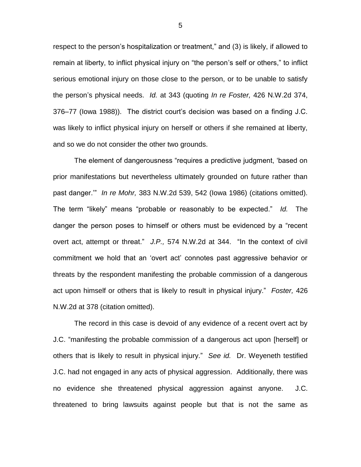respect to the person's hospitalization or treatment," and (3) is likely, if allowed to remain at liberty, to inflict physical injury on "the person's self or others," to inflict serious emotional injury on those close to the person, or to be unable to satisfy the person's physical needs. *Id.* at 343 (quoting *In re Foster,* 426 N.W.2d 374, 376–77 (Iowa 1988)). The district court's decision was based on a finding J.C. was likely to inflict physical injury on herself or others if she remained at liberty, and so we do not consider the other two grounds.

The element of dangerousness "requires a predictive judgment, 'based on prior manifestations but nevertheless ultimately grounded on future rather than past danger.'" *In re Mohr,* 383 N.W.2d 539, 542 (Iowa 1986) (citations omitted). The term "likely" means "probable or reasonably to be expected." *Id.* The danger the person poses to himself or others must be evidenced by a "recent overt act, attempt or threat." *J.P.,* 574 N.W.2d at 344. "In the context of civil commitment we hold that an 'overt act' connotes past aggressive behavior or threats by the respondent manifesting the probable commission of a dangerous act upon himself or others that is likely to result in physical injury." *Foster,* 426 N.W.2d at 378 (citation omitted).

The record in this case is devoid of any evidence of a recent overt act by J.C. "manifesting the probable commission of a dangerous act upon [herself] or others that is likely to result in physical injury." *See id.* Dr. Weyeneth testified J.C. had not engaged in any acts of physical aggression. Additionally, there was no evidence she threatened physical aggression against anyone. J.C. threatened to bring lawsuits against people but that is not the same as

5